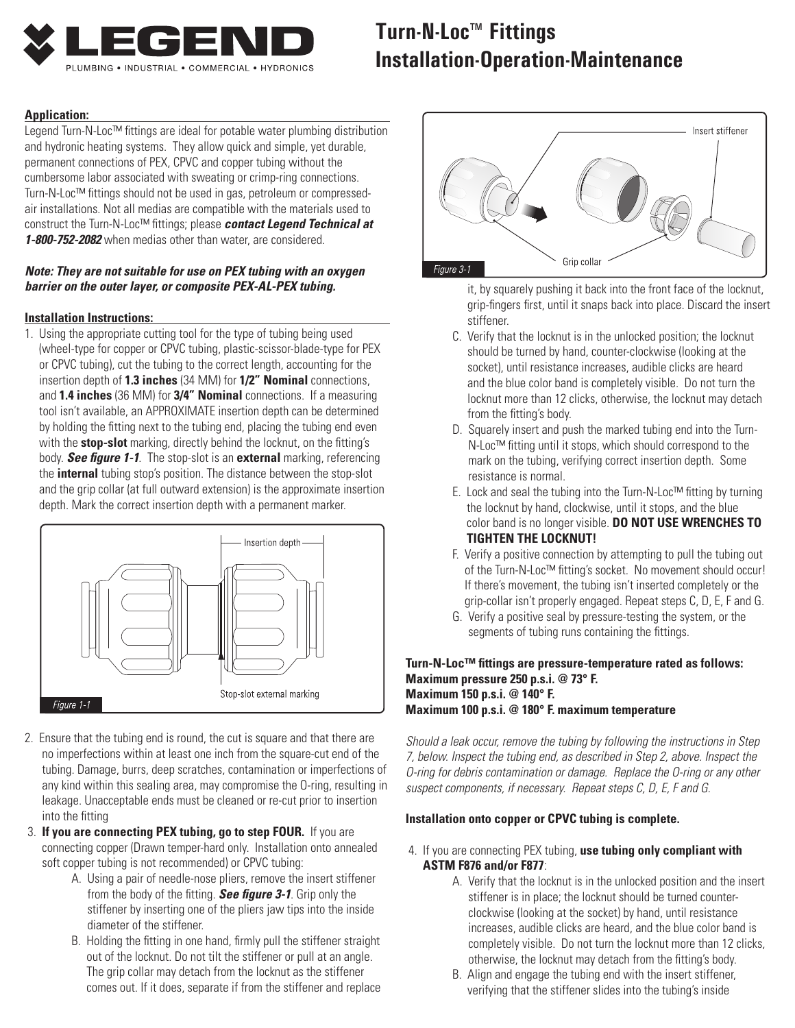

# **Turn-N-Loc™ Fittings Installation-Operation-Maintenance**

#### **Application:**

Legend Turn-N-Loc™ fittings are ideal for potable water plumbing distribution and hydronic heating systems. They allow quick and simple, yet durable, permanent connections of PEX, CPVC and copper tubing without the cumbersome labor associated with sweating or crimp-ring connections. Turn-N-Loc™ fittings should not be used in gas, petroleum or compressedair installations. Not all medias are compatible with the materials used to construct the Turn-N-Loc™ fittings; please *contact Legend Technical at 1-800-752-2082* when medias other than water, are considered.

## *Note: They are not suitable for use on PEX tubing with an oxygen barrier on the outer layer, or composite PEX-AL-PEX tubing.*

#### **Installation Instructions:**

1. Using the appropriate cutting tool for the type of tubing being used (wheel-type for copper or CPVC tubing, plastic-scissor-blade-type for PEX or CPVC tubing), cut the tubing to the correct length, accounting for the insertion depth of **1.3 inches** (34 MM) for **1/2" Nominal** connections, and **1.4 inches** (36 MM) for **3/4" Nominal** connections. If a measuring tool isn't available, an APPROXIMATE insertion depth can be determined by holding the fitting next to the tubing end, placing the tubing end even with the **stop-slot** marking, directly behind the locknut, on the fitting's body. *See figure 1-1*. The stop-slot is an **external** marking, referencing the **internal** tubing stop's position. The distance between the stop-slot and the grip collar (at full outward extension) is the approximate insertion depth. Mark the correct insertion depth with a permanent marker.



- 2. Ensure that the tubing end is round, the cut is square and that there are no imperfections within at least one inch from the square-cut end of the tubing. Damage, burrs, deep scratches, contamination or imperfections of any kind within this sealing area, may compromise the O-ring, resulting in leakage. Unacceptable ends must be cleaned or re-cut prior to insertion into the fitting
- 3. **If you are connecting PEX tubing, go to step FOUR.** If you are connecting copper (Drawn temper-hard only. Installation onto annealed soft copper tubing is not recommended) or CPVC tubing:
	- A. Using a pair of needle-nose pliers, remove the insert stiffener from the body of the fitting. *See figure 3-1*. Grip only the stiffener by inserting one of the pliers jaw tips into the inside diameter of the stiffener.
	- B. Holding the fitting in one hand, firmly pull the stiffener straight out of the locknut. Do not tilt the stiffener or pull at an angle. The grip collar may detach from the locknut as the stiffener comes out. If it does, separate if from the stiffener and replace



it, by squarely pushing it back into the front face of the locknut, grip-fingers first, until it snaps back into place. Discard the insert stiffener.

- C. Verify that the locknut is in the unlocked position; the locknut should be turned by hand, counter-clockwise (looking at the socket), until resistance increases, audible clicks are heard and the blue color band is completely visible. Do not turn the locknut more than 12 clicks, otherwise, the locknut may detach from the fitting's body.
- D. Squarely insert and push the marked tubing end into the Turn-N-Loc™ fitting until it stops, which should correspond to the mark on the tubing, verifying correct insertion depth. Some resistance is normal.
- E. Lock and seal the tubing into the Turn-N-Loc™ fitting by turning the locknut by hand, clockwise, until it stops, and the blue color band is no longer visible. **DO NOT USE WRENCHES TO TIGHTEN THE LOCKNUT!**
- F. Verify a positive connection by attempting to pull the tubing out of the Turn-N-Loc™ fitting's socket. No movement should occur! If there's movement, the tubing isn't inserted completely or the grip-collar isn't properly engaged. Repeat steps C, D, E, F and G.
- G. Verify a positive seal by pressure-testing the system, or the segments of tubing runs containing the fittings.

## **Turn-N-Loc™ fittings are pressure-temperature rated as follows: Maximum pressure 250 p.s.i. @ 73° F. Maximum 150 p.s.i. @ 140° F. Maximum 100 p.s.i. @ 180° F. maximum temperature**

*Should a leak occur, remove the tubing by following the instructions in Step 7, below. Inspect the tubing end, as described in Step 2, above. Inspect the O-ring for debris contamination or damage. Replace the O-ring or any other suspect components, if necessary. Repeat steps C, D, E, F and G.*

#### **Installation onto copper or CPVC tubing is complete.**

- 4. If you are connecting PEX tubing, **use tubing only compliant with ASTM F876 and/or F877**:
	- A. Verify that the locknut is in the unlocked position and the insert stiffener is in place; the locknut should be turned counterclockwise (looking at the socket) by hand, until resistance increases, audible clicks are heard, and the blue color band is completely visible. Do not turn the locknut more than 12 clicks, otherwise, the locknut may detach from the fitting's body.
	- B. Align and engage the tubing end with the insert stiffener, verifying that the stiffener slides into the tubing's inside